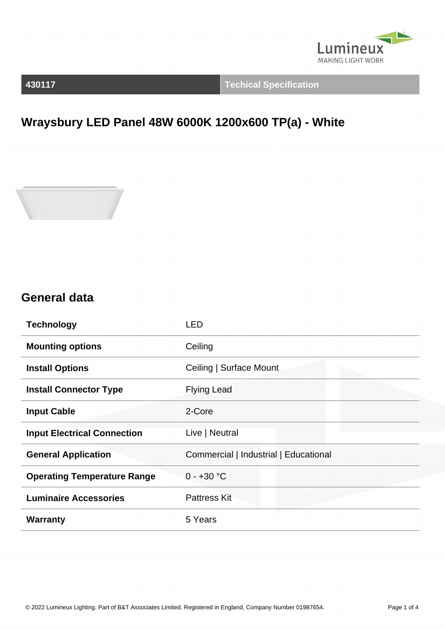

**430117 Techical Specification**

## **Wraysbury LED Panel 48W 6000K 1200x600 TP(a) - White**



#### **General data**

| <b>Technology</b>                  | <b>LED</b>                            |
|------------------------------------|---------------------------------------|
| <b>Mounting options</b>            | Ceiling                               |
| <b>Install Options</b>             | Ceiling   Surface Mount               |
| <b>Install Connector Type</b>      | <b>Flying Lead</b>                    |
| <b>Input Cable</b>                 | 2-Core                                |
| <b>Input Electrical Connection</b> | Live   Neutral                        |
| <b>General Application</b>         | Commercial   Industrial   Educational |
| <b>Operating Temperature Range</b> | $0 - +30 °C$                          |
| <b>Luminaire Accessories</b>       | <b>Pattress Kit</b>                   |
| <b>Warranty</b>                    | 5 Years                               |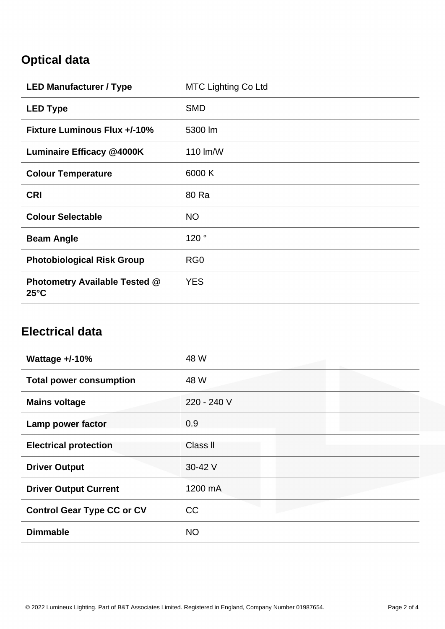### **Optical data**

| <b>LED Manufacturer / Type</b>                         | <b>MTC Lighting Co Ltd</b> |
|--------------------------------------------------------|----------------------------|
| <b>LED Type</b>                                        | <b>SMD</b>                 |
| <b>Fixture Luminous Flux +/-10%</b>                    | 5300 lm                    |
| <b>Luminaire Efficacy @4000K</b>                       | 110 lm/W                   |
| <b>Colour Temperature</b>                              | 6000 K                     |
| <b>CRI</b>                                             | 80 Ra                      |
| <b>Colour Selectable</b>                               | <b>NO</b>                  |
| <b>Beam Angle</b>                                      | 120°                       |
| <b>Photobiological Risk Group</b>                      | RG <sub>0</sub>            |
| <b>Photometry Available Tested @</b><br>$25^{\circ}$ C | <b>YES</b>                 |

### **Electrical data**

| Wattage $+/-10%$                  | 48 W        |
|-----------------------------------|-------------|
| <b>Total power consumption</b>    | 48 W        |
| <b>Mains voltage</b>              | 220 - 240 V |
| Lamp power factor                 | 0.9         |
| <b>Electrical protection</b>      | Class II    |
| <b>Driver Output</b>              | 30-42 V     |
| <b>Driver Output Current</b>      | 1200 mA     |
| <b>Control Gear Type CC or CV</b> | CC          |
| <b>Dimmable</b>                   | <b>NO</b>   |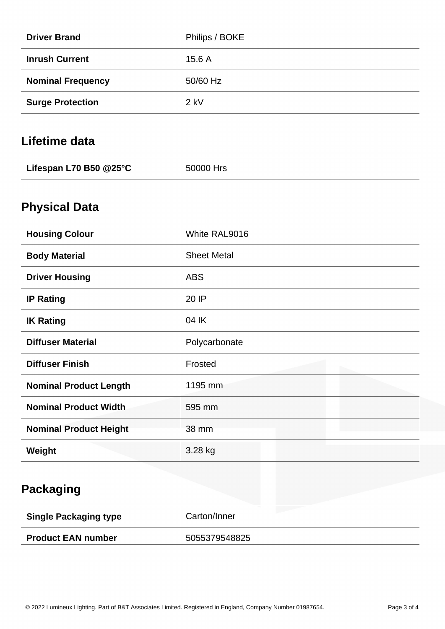| <b>Driver Brand</b>           | Philips / BOKE     |
|-------------------------------|--------------------|
| <b>Inrush Current</b>         | 15.6 A             |
| <b>Nominal Frequency</b>      | 50/60 Hz           |
| <b>Surge Protection</b>       | $2$ kV             |
| Lifetime data                 |                    |
| Lifespan L70 B50 @25°C        | 50000 Hrs          |
| <b>Physical Data</b>          |                    |
| <b>Housing Colour</b>         | White RAL9016      |
| <b>Body Material</b>          | <b>Sheet Metal</b> |
| <b>Driver Housing</b>         | <b>ABS</b>         |
| <b>IP Rating</b>              | 20 IP              |
| <b>IK Rating</b>              | 04 IK              |
| <b>Diffuser Material</b>      | Polycarbonate      |
| <b>Diffuser Finish</b>        | Frosted            |
| <b>Nominal Product Length</b> | 1195 mm            |
| <b>Nominal Product Width</b>  | 595 mm             |
| <b>Nominal Product Height</b> | 38 mm              |
| Weight                        | 3.28 kg            |
| <b>Packaging</b>              |                    |
| <b>Single Packaging type</b>  | Carton/Inner       |
| <b>Product EAN number</b>     | 5055379548825      |